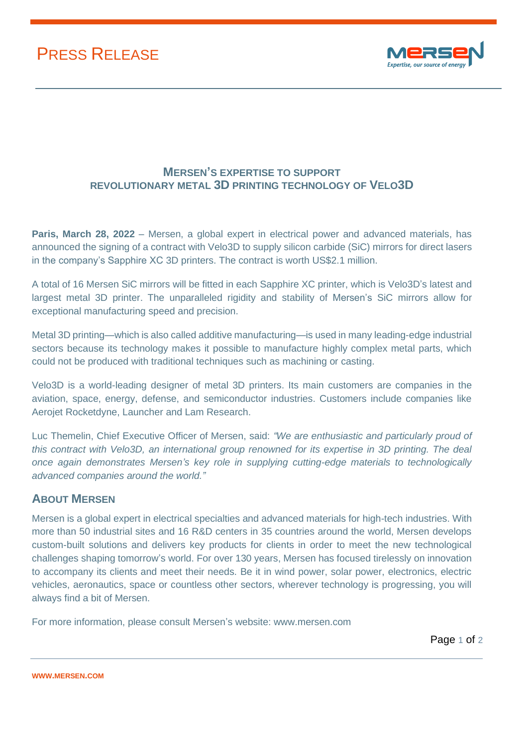## PRESS RELEASE



## **MERSEN'S EXPERTISE TO SUPPORT REVOLUTIONARY METAL 3D PRINTING TECHNOLOGY OF VELO3D**

**Paris, March 28, 2022** – Mersen, a global expert in electrical power and advanced materials, has announced the signing of a contract with Velo3D to supply silicon carbide (SiC) mirrors for direct lasers in the company's Sapphire XC 3D printers. The contract is worth US\$2.1 million.

A total of 16 Mersen SiC mirrors will be fitted in each Sapphire XC printer, which is Velo3D's latest and largest metal 3D printer. The unparalleled rigidity and stability of Mersen's SiC mirrors allow for exceptional manufacturing speed and precision.

Metal 3D printing—which is also called additive manufacturing—is used in many leading-edge industrial sectors because its technology makes it possible to manufacture highly complex metal parts, which could not be produced with traditional techniques such as machining or casting.

Velo3D is a world-leading designer of metal 3D printers. Its main customers are companies in the aviation, space, energy, defense, and semiconductor industries. Customers include companies like Aerojet Rocketdyne, Launcher and Lam Research.

Luc Themelin, Chief Executive Officer of Mersen, said: *"We are enthusiastic and particularly proud of this contract with Velo3D, an international group renowned for its expertise in 3D printing. The deal once again demonstrates Mersen's key role in supplying cutting-edge materials to technologically advanced companies around the world."*

## **ABOUT MERSEN**

Mersen is a global expert in electrical specialties and advanced materials for high-tech industries. With more than 50 industrial sites and 16 R&D centers in 35 countries around the world, Mersen develops custom-built solutions and delivers key products for clients in order to meet the new technological challenges shaping tomorrow's world. For over 130 years, Mersen has focused tirelessly on innovation to accompany its clients and meet their needs. Be it in wind power, solar power, electronics, electric vehicles, aeronautics, space or countless other sectors, wherever technology is progressing, you will always find a bit of Mersen.

For more information, please consult Mersen's website: [www.mersen.com](http://www.mersen.com/)

Page 1 of 2